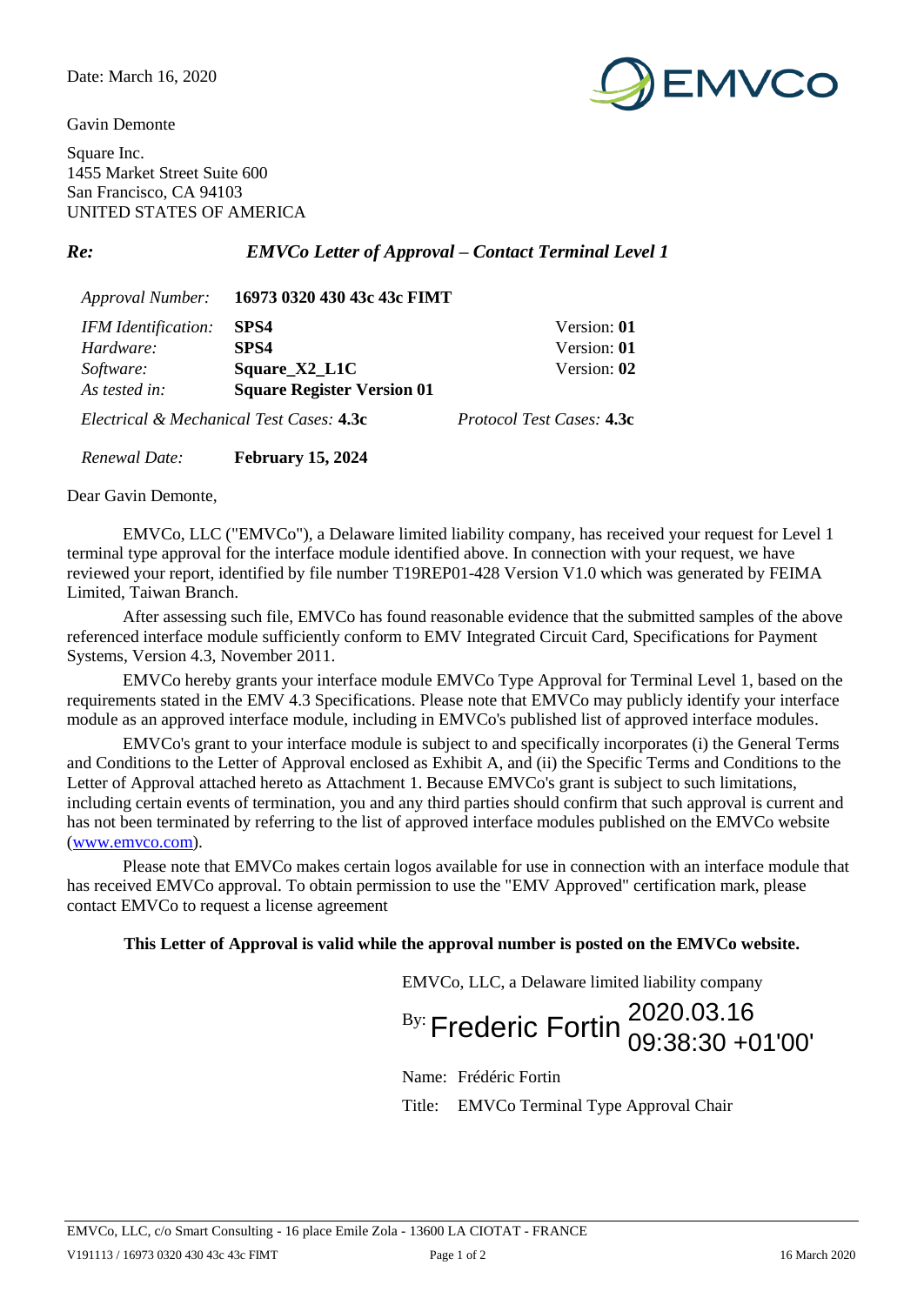Gavin Demonte



Square Inc. 1455 Market Street Suite 600 San Francisco, CA 94103 UNITED STATES OF AMERICA

*Re: EMVCo Letter of Approval – Contact Terminal Level 1*

| <i>Approval Number:</i>                  | 16973 0320 430 43c 43c FIMT       |                                  |
|------------------------------------------|-----------------------------------|----------------------------------|
| IFM Identification:                      | SPS4                              | Version: 01                      |
| Hardware:                                | SPS4                              | Version: 01                      |
| Software:                                | Square_X2_L1C                     | Version: 02                      |
| As tested in:                            | <b>Square Register Version 01</b> |                                  |
| Electrical & Mechanical Test Cases: 4.3c |                                   | <i>Protocol Test Cases:</i> 4.3c |
| Renewal Date:                            | <b>February 15, 2024</b>          |                                  |

Dear Gavin Demonte,

EMVCo, LLC ("EMVCo"), a Delaware limited liability company, has received your request for Level 1 terminal type approval for the interface module identified above. In connection with your request, we have reviewed your report, identified by file number T19REP01-428 Version V1.0 which was generated by FEIMA Limited, Taiwan Branch.

After assessing such file, EMVCo has found reasonable evidence that the submitted samples of the above referenced interface module sufficiently conform to EMV Integrated Circuit Card, Specifications for Payment Systems, Version 4.3, November 2011.

EMVCo hereby grants your interface module EMVCo Type Approval for Terminal Level 1, based on the requirements stated in the EMV 4.3 Specifications. Please note that EMVCo may publicly identify your interface module as an approved interface module, including in EMVCo's published list of approved interface modules.

EMVCo's grant to your interface module is subject to and specifically incorporates (i) the General Terms and Conditions to the Letter of Approval enclosed as Exhibit A, and (ii) the Specific Terms and Conditions to the Letter of Approval attached hereto as Attachment 1. Because EMVCo's grant is subject to such limitations, including certain events of termination, you and any third parties should confirm that such approval is current and has not been terminated by referring to the list of approved interface modules published on the EMVCo website [\(www.emvco.com\)](http://www.emvco.com/).

Please note that EMVCo makes certain logos available for use in connection with an interface module that has received EMVCo approval. To obtain permission to use the "EMV Approved" certification mark, please contact EMVCo to request a license agreement

## **This Letter of Approval is valid while the approval number is posted on the EMVCo website.**

EMVCo, LLC, a Delaware limited liability company

 $\frac{By}{By}$  Frederic Fortin 2020.03.16 09:38:30 +01'00'

Name: Frédéric Fortin

Title: EMVCo Terminal Type Approval Chair